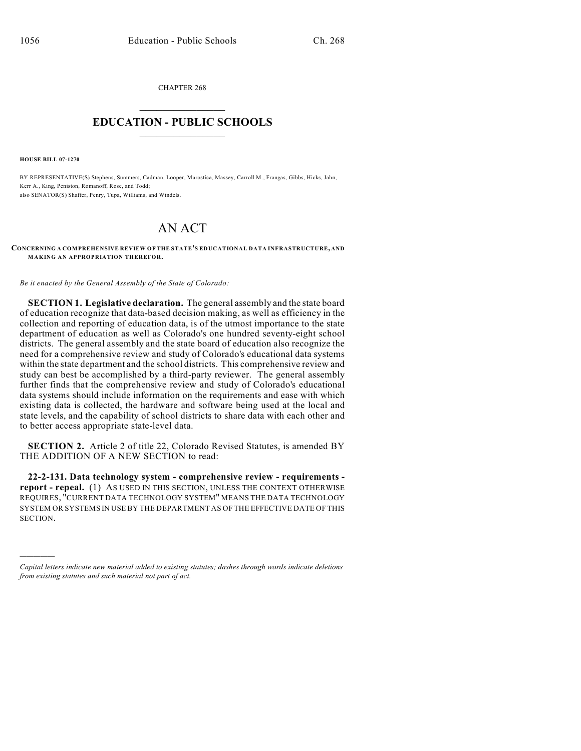CHAPTER 268  $\mathcal{L}_\text{max}$  . The set of the set of the set of the set of the set of the set of the set of the set of the set of the set of the set of the set of the set of the set of the set of the set of the set of the set of the set

## **EDUCATION - PUBLIC SCHOOLS**  $\_$   $\_$   $\_$   $\_$   $\_$   $\_$   $\_$   $\_$   $\_$

**HOUSE BILL 07-1270**

)))))

BY REPRESENTATIVE(S) Stephens, Summers, Cadman, Looper, Marostica, Massey, Carroll M., Frangas, Gibbs, Hicks, Jahn, Kerr A., King, Peniston, Romanoff, Rose, and Todd; also SENATOR(S) Shaffer, Penry, Tupa, Williams, and Windels.

## AN ACT

**CONCERNING A COMPREHENSIVE REVIEW OF THE STATE'S EDUCATIONAL DATA INFRASTRUCTURE, AND MAKING AN APPROPRIATION THEREFOR.** 

*Be it enacted by the General Assembly of the State of Colorado:*

**SECTION 1. Legislative declaration.** The general assembly and the state board of education recognize that data-based decision making, as well as efficiency in the collection and reporting of education data, is of the utmost importance to the state department of education as well as Colorado's one hundred seventy-eight school districts. The general assembly and the state board of education also recognize the need for a comprehensive review and study of Colorado's educational data systems within the state department and the school districts. This comprehensive review and study can best be accomplished by a third-party reviewer. The general assembly further finds that the comprehensive review and study of Colorado's educational data systems should include information on the requirements and ease with which existing data is collected, the hardware and software being used at the local and state levels, and the capability of school districts to share data with each other and to better access appropriate state-level data.

**SECTION 2.** Article 2 of title 22, Colorado Revised Statutes, is amended BY THE ADDITION OF A NEW SECTION to read:

**22-2-131. Data technology system - comprehensive review - requirements report - repeal.** (1) AS USED IN THIS SECTION, UNLESS THE CONTEXT OTHERWISE REQUIRES, "CURRENT DATA TECHNOLOGY SYSTEM" MEANS THE DATA TECHNOLOGY SYSTEM OR SYSTEMS IN USE BY THE DEPARTMENT AS OF THE EFFECTIVE DATE OF THIS SECTION.

*Capital letters indicate new material added to existing statutes; dashes through words indicate deletions from existing statutes and such material not part of act.*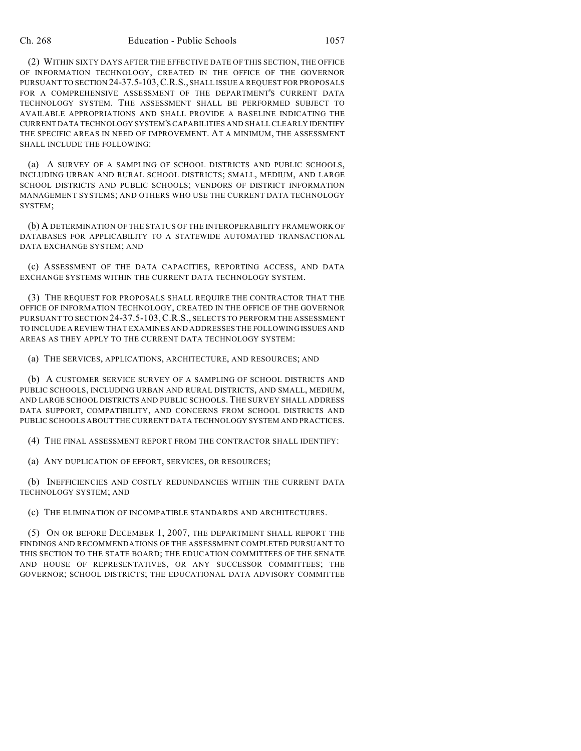(2) WITHIN SIXTY DAYS AFTER THE EFFECTIVE DATE OF THIS SECTION, THE OFFICE OF INFORMATION TECHNOLOGY, CREATED IN THE OFFICE OF THE GOVERNOR PURSUANT TO SECTION 24-37.5-103,C.R.S., SHALL ISSUE A REQUEST FOR PROPOSALS FOR A COMPREHENSIVE ASSESSMENT OF THE DEPARTMENT'S CURRENT DATA TECHNOLOGY SYSTEM. THE ASSESSMENT SHALL BE PERFORMED SUBJECT TO AVAILABLE APPROPRIATIONS AND SHALL PROVIDE A BASELINE INDICATING THE CURRENT DATA TECHNOLOGY SYSTEM'S CAPABILITIES AND SHALL CLEARLY IDENTIFY THE SPECIFIC AREAS IN NEED OF IMPROVEMENT. AT A MINIMUM, THE ASSESSMENT SHALL INCLUDE THE FOLLOWING:

(a) A SURVEY OF A SAMPLING OF SCHOOL DISTRICTS AND PUBLIC SCHOOLS, INCLUDING URBAN AND RURAL SCHOOL DISTRICTS; SMALL, MEDIUM, AND LARGE SCHOOL DISTRICTS AND PUBLIC SCHOOLS; VENDORS OF DISTRICT INFORMATION MANAGEMENT SYSTEMS; AND OTHERS WHO USE THE CURRENT DATA TECHNOLOGY SYSTEM;

(b) A DETERMINATION OF THE STATUS OF THE INTEROPERABILITY FRAMEWORK OF DATABASES FOR APPLICABILITY TO A STATEWIDE AUTOMATED TRANSACTIONAL DATA EXCHANGE SYSTEM; AND

(c) ASSESSMENT OF THE DATA CAPACITIES, REPORTING ACCESS, AND DATA EXCHANGE SYSTEMS WITHIN THE CURRENT DATA TECHNOLOGY SYSTEM.

(3) THE REQUEST FOR PROPOSALS SHALL REQUIRE THE CONTRACTOR THAT THE OFFICE OF INFORMATION TECHNOLOGY, CREATED IN THE OFFICE OF THE GOVERNOR PURSUANT TO SECTION 24-37.5-103,C.R.S., SELECTS TO PERFORM THE ASSESSMENT TO INCLUDE A REVIEW THAT EXAMINES AND ADDRESSES THE FOLLOWING ISSUES AND AREAS AS THEY APPLY TO THE CURRENT DATA TECHNOLOGY SYSTEM:

(a) THE SERVICES, APPLICATIONS, ARCHITECTURE, AND RESOURCES; AND

(b) A CUSTOMER SERVICE SURVEY OF A SAMPLING OF SCHOOL DISTRICTS AND PUBLIC SCHOOLS, INCLUDING URBAN AND RURAL DISTRICTS, AND SMALL, MEDIUM, AND LARGE SCHOOL DISTRICTS AND PUBLIC SCHOOLS. THE SURVEY SHALL ADDRESS DATA SUPPORT, COMPATIBILITY, AND CONCERNS FROM SCHOOL DISTRICTS AND PUBLIC SCHOOLS ABOUT THE CURRENT DATA TECHNOLOGY SYSTEM AND PRACTICES.

(4) THE FINAL ASSESSMENT REPORT FROM THE CONTRACTOR SHALL IDENTIFY:

(a) ANY DUPLICATION OF EFFORT, SERVICES, OR RESOURCES;

(b) INEFFICIENCIES AND COSTLY REDUNDANCIES WITHIN THE CURRENT DATA TECHNOLOGY SYSTEM; AND

(c) THE ELIMINATION OF INCOMPATIBLE STANDARDS AND ARCHITECTURES.

(5) ON OR BEFORE DECEMBER 1, 2007, THE DEPARTMENT SHALL REPORT THE FINDINGS AND RECOMMENDATIONS OF THE ASSESSMENT COMPLETED PURSUANT TO THIS SECTION TO THE STATE BOARD; THE EDUCATION COMMITTEES OF THE SENATE AND HOUSE OF REPRESENTATIVES, OR ANY SUCCESSOR COMMITTEES; THE GOVERNOR; SCHOOL DISTRICTS; THE EDUCATIONAL DATA ADVISORY COMMITTEE